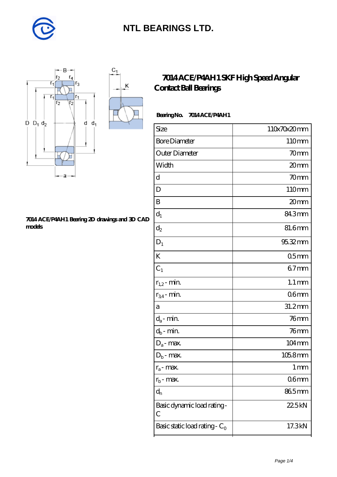

K



#### **[7014 ACE/P4AH1 Bearing 2D drawings and 3D CAD](https://m.diabetesfriends.net/pic-590818.html) [models](https://m.diabetesfriends.net/pic-590818.html)**

### **[7014 ACE/P4AH1 SKF High Speed Angular](https://m.diabetesfriends.net/skf-bearing/7014-ace-p4ah1.html) [Contact Ball Bearings](https://m.diabetesfriends.net/skf-bearing/7014-ace-p4ah1.html)**

### Bearing No. 7014 ACE/P4AH1

| Size                             | 110x70x20mm         |
|----------------------------------|---------------------|
| <b>Bore Diameter</b>             | 110mm               |
| Outer Diameter                   | 70mm                |
| Width                            | 20mm                |
| $\mathbf d$                      | 70mm                |
| D                                | 110mm               |
| B                                | 20mm                |
| $\mathrm{d}_{1}$                 | 843mm               |
| $\mathrm{d}_2$                   | 81.6mm              |
| $D_1$                            | 95.32mm             |
| K                                | 05 <sub>mm</sub>    |
| $C_1$                            | $67$ mm             |
| $r_{1,2}$ - min.                 | $1.1 \,\mathrm{mm}$ |
| $r_{34}$ - min.                  | 06 <sub>mm</sub>    |
| a                                | 31.2mm              |
| $d_a$ - min.                     | $76$ mm             |
| $d_b$ - min.                     | $76$ mm             |
| $D_a$ - max.                     | $104 \,\mathrm{mm}$ |
| $D_b$ - max.                     | $1058$ mm           |
| $r_a$ - max.                     | 1 mm                |
| $r_{b}$ - max.                   | 06 <sub>mm</sub>    |
| $d_{n}$                          | 865mm               |
| Basic dynamic load rating-<br>С  | 22.5kN              |
| Basic static load rating - $C_0$ | 17.3kN              |
|                                  |                     |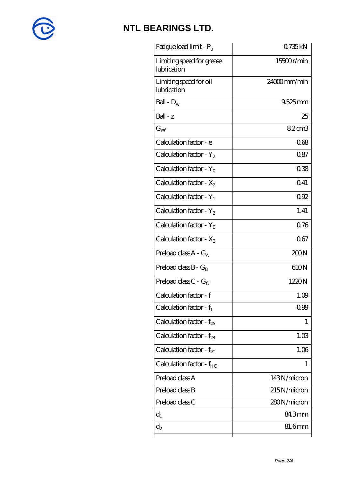

| 0.735kN     |
|-------------|
| 15500r/min  |
| 24000mm/min |
| $9.525$ mm  |
| 25          |
| 82cm3       |
| 068         |
| 087         |
| 038         |
| Q41         |
| 092         |
| 1.41        |
| 0.76        |
| 067         |
| 200N        |
| 610N        |
| 1220N       |
| 1.09        |
| 0.99        |
| 1           |
| 1.03        |
| 1.06        |
| 1           |
| 143N/micron |
| 215N/micron |
| 280N/micron |
| 84.3mm      |
| 81.6mm      |
|             |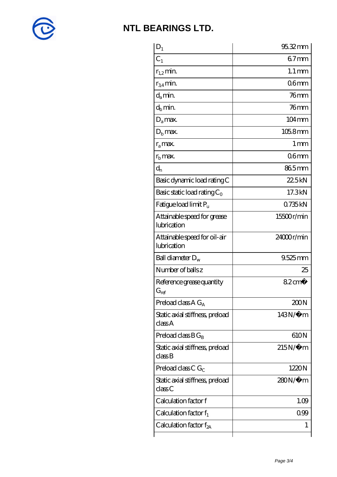

| $D_1$                                         | 95.32mm             |
|-----------------------------------------------|---------------------|
| $C_1$                                         | $67$ mm             |
| $r_{1,2}$ min.                                | $1.1 \,\mathrm{mm}$ |
| $r_{34}$ min.                                 | 06 <sub>mm</sub>    |
| $d_{a}$ min.                                  | 76 <sub>mm</sub>    |
| $d_h$ min.                                    | $76$ mm             |
| $D_a$ max.                                    | $104 \text{mm}$     |
| $Db$ max.                                     | 105.8mm             |
| $r_a$ max.                                    | $1 \,\mathrm{mm}$   |
| $rb$ max.                                     | 06 <sub>mm</sub>    |
| $d_{n}$                                       | 865mm               |
| Basic dynamic load rating C                   | 225kN               |
| Basic static load rating $C_0$                | 17.3kN              |
| Fatigue load limit $P_u$                      | 0735kN              |
| Attainable speed for grease<br>lubrication    | 15500r/min          |
| Attainable speed for oil-air<br>lubrication   | 24000r/min          |
| Ball diameter $D_w$                           | $9.525$ mm          |
| Number of balls z                             | 25                  |
| Reference grease quantity<br>$G_{\text{ref}}$ | $82 \text{cm}^3$    |
| Preload class $A G_A$                         | 200N                |
| Static axial stiffness, preload<br>classA     | $143N/\mu$ m        |
| Preload class $BG_B$                          | 610N                |
| Static axial stiffness, preload<br>classB     | $215N/\mu$ m        |
| Preload class C $G_C$                         | 1220N               |
| Static axial stiffness, preload<br>classC     | 280N/μ m            |
| Calculation factor f                          | 1.09                |
| Calculation factor $f_1$                      | 099                 |
| Calculation factor $f_{2A}$                   | 1                   |
|                                               |                     |